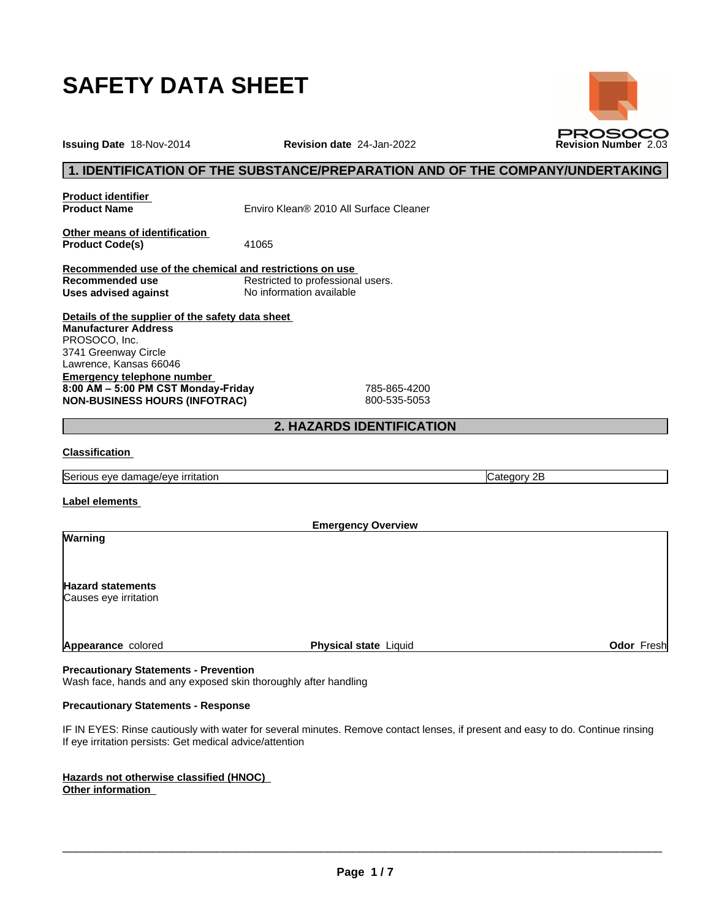$\overline{\phantom{a}}$  ,  $\overline{\phantom{a}}$  ,  $\overline{\phantom{a}}$  ,  $\overline{\phantom{a}}$  ,  $\overline{\phantom{a}}$  ,  $\overline{\phantom{a}}$  ,  $\overline{\phantom{a}}$  ,  $\overline{\phantom{a}}$  ,  $\overline{\phantom{a}}$  ,  $\overline{\phantom{a}}$  ,  $\overline{\phantom{a}}$  ,  $\overline{\phantom{a}}$  ,  $\overline{\phantom{a}}$  ,  $\overline{\phantom{a}}$  ,  $\overline{\phantom{a}}$  ,  $\overline{\phantom{a}}$ 

# **SAFETY DATA SHEET**

**Issuing Date** 18-Nov-2014 **Revision date** 24-Jan-2022 **Revision Number** 2.03

# **1. IDENTIFICATION OF THE SUBSTANCE/PREPARATION AND OF THE COMPANY/UNDERTAKING**

**Product identifier**

**Product Name** Enviro Klean® 2010 All Surface Cleaner

**Other means of identification Product Code(s)** 41065

**Recommended use of the chemical and restrictions on use** Restricted to professional users.<br>No information available **Uses** advised against

**Details of the supplier of the safety data sheet Emergency telephone number 8:00AM–5:00PMCSTMonday-Friday** 785-865-4200 **NON-BUSINESS HOURS (INFOTRAC)** 800-535-5053 **Manufacturer Address** PROSOCO, Inc. 3741 Greenway Circle Lawrence, Kansas 66046

# **2. HAZARDS IDENTIFICATION**

# **Classification**

Serious eye damage/eye irritation **Category 2B** category 2B

**Label elements**

**Emergency Overview**

**Warning**

**Hazard statements** Causes eye irritation

**Appearance** colored **Physical state** Liquid

**Precautionary Statements - Prevention**

Wash face, hands and any exposed skin thoroughly after handling

## **Precautionary Statements - Response**

IF IN EYES: Rinse cautiously with water for several minutes. Remove contact lenses, if present and easy to do. Continue rinsing If eye irritation persists: Get medical advice/attention

**Hazards not otherwise classified (HNOC) Other information**



**Odor** Fresh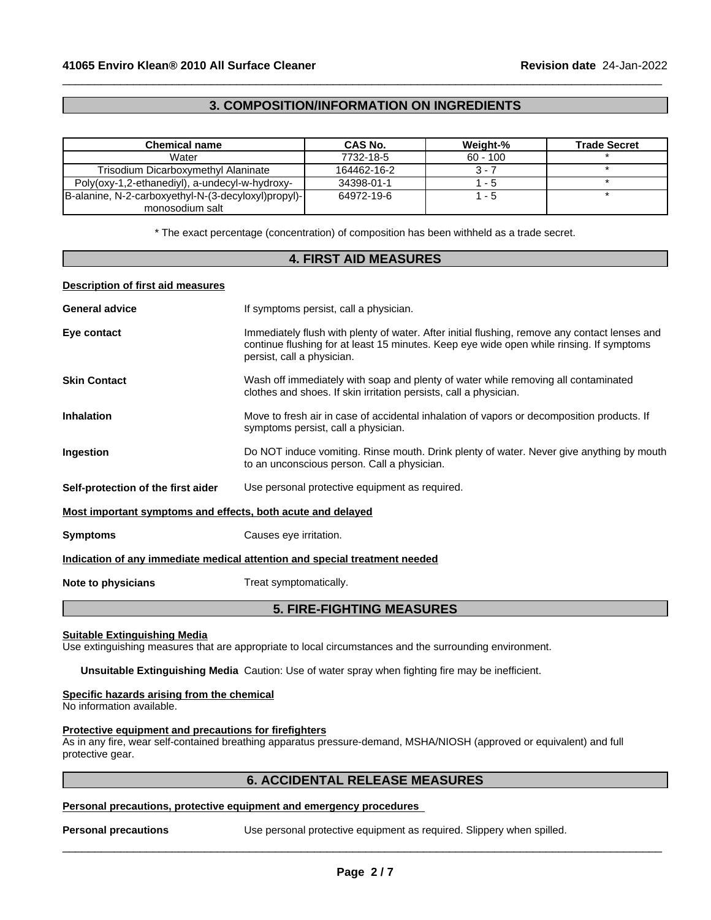# **3. COMPOSITION/INFORMATION ON INGREDIENTS**

 $\_$  ,  $\_$  ,  $\_$  ,  $\_$  ,  $\_$  ,  $\_$  ,  $\_$  ,  $\_$  ,  $\_$  ,  $\_$  ,  $\_$  ,  $\_$  ,  $\_$  ,  $\_$  ,  $\_$  ,  $\_$  ,  $\_$  ,  $\_$  ,  $\_$  ,  $\_$  ,  $\_$  ,  $\_$  ,  $\_$  ,  $\_$  ,  $\_$  ,  $\_$  ,  $\_$  ,  $\_$  ,  $\_$  ,  $\_$  ,  $\_$  ,  $\_$  ,  $\_$  ,  $\_$  ,  $\_$  ,  $\_$  ,  $\_$  ,

| <b>Chemical name</b>                                | CAS No.     | Weight-%   | <b>Trade Secret</b> |
|-----------------------------------------------------|-------------|------------|---------------------|
| Water                                               | 7732-18-5   | $60 - 100$ |                     |
| Trisodium Dicarboxymethyl Alaninate                 | 164462-16-2 | $3 - i$    |                     |
| Poly(oxy-1,2-ethanediyl), a-undecyl-w-hydroxy-      | 34398-01-1  | . - 5      |                     |
| B-alanine, N-2-carboxyethyl-N-(3-decyloxyl)propyl)- | 64972-19-6  | - 5        |                     |
| monosodium salt                                     |             |            |                     |

\* The exact percentage (concentration) ofcomposition has been withheld as a trade secret.

# **4. FIRST AID MEASURES**

**Description of first aid measures**

|                                                             | <b>5. FIRE-FIGHTING MEASURES</b>                                                                                                                                                                                        |
|-------------------------------------------------------------|-------------------------------------------------------------------------------------------------------------------------------------------------------------------------------------------------------------------------|
| Note to physicians                                          | Treat symptomatically.                                                                                                                                                                                                  |
|                                                             | Indication of any immediate medical attention and special treatment needed                                                                                                                                              |
| <b>Symptoms</b>                                             | Causes eye irritation.                                                                                                                                                                                                  |
| Most important symptoms and effects, both acute and delayed |                                                                                                                                                                                                                         |
| Self-protection of the first aider                          | Use personal protective equipment as required.                                                                                                                                                                          |
| Ingestion                                                   | Do NOT induce vomiting. Rinse mouth. Drink plenty of water. Never give anything by mouth<br>to an unconscious person. Call a physician.                                                                                 |
| <b>Inhalation</b>                                           | Move to fresh air in case of accidental inhalation of vapors or decomposition products. If<br>symptoms persist, call a physician.                                                                                       |
| <b>Skin Contact</b>                                         | Wash off immediately with soap and plenty of water while removing all contaminated<br>clothes and shoes. If skin irritation persists, call a physician.                                                                 |
| Eye contact                                                 | Immediately flush with plenty of water. After initial flushing, remove any contact lenses and<br>continue flushing for at least 15 minutes. Keep eye wide open while rinsing. If symptoms<br>persist, call a physician. |
| <b>General advice</b>                                       | If symptoms persist, call a physician.                                                                                                                                                                                  |

#### **Suitable Extinguishing Media**

Use extinguishing measures that are appropriate to local circumstances and the surrounding environment.

**Unsuitable Extinguishing Media** Caution: Use of water spray when fighting fire may be inefficient.

#### **Specific hazards arising from the chemical**

No information available.

#### **Protective equipment and precautions for firefighters**

As in any fire, wear self-contained breathing apparatus pressure-demand, MSHA/NIOSH (approved or equivalent) and full protective gear.

# **6. ACCIDENTAL RELEASE MEASURES**

## **Personal precautions, protective equipment and emergency procedures**

**Personal precautions** Use personal protective equipment as required. Slippery when spilled.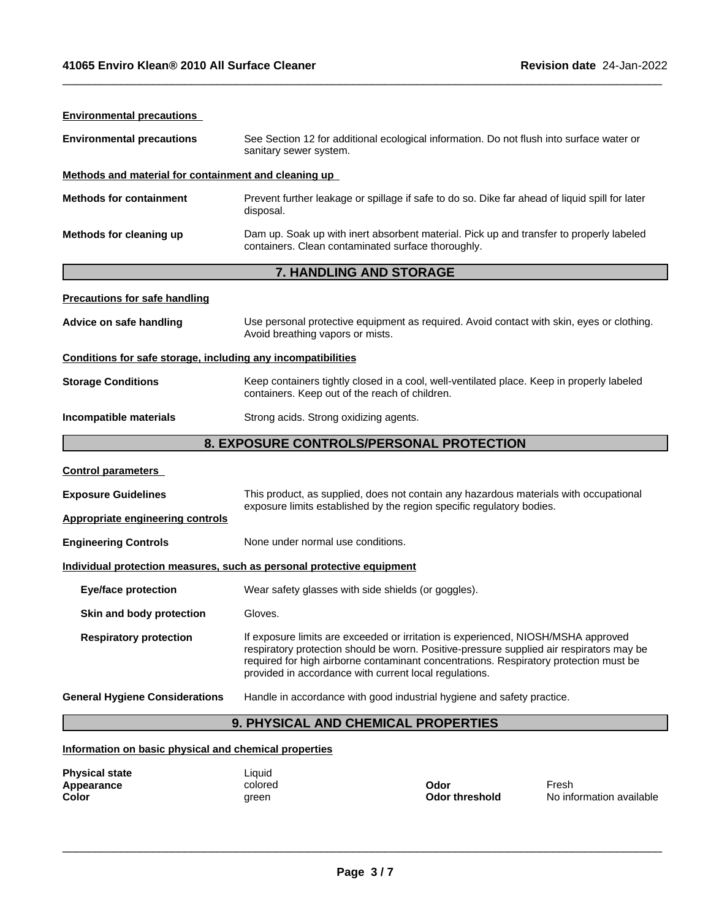| <b>Environmental precautions</b>                                      |                                                                                                                    |                                                                                                                                                                                                                                                                                                                                  |                                   |  |  |
|-----------------------------------------------------------------------|--------------------------------------------------------------------------------------------------------------------|----------------------------------------------------------------------------------------------------------------------------------------------------------------------------------------------------------------------------------------------------------------------------------------------------------------------------------|-----------------------------------|--|--|
| <b>Environmental precautions</b>                                      | See Section 12 for additional ecological information. Do not flush into surface water or<br>sanitary sewer system. |                                                                                                                                                                                                                                                                                                                                  |                                   |  |  |
| Methods and material for containment and cleaning up                  |                                                                                                                    |                                                                                                                                                                                                                                                                                                                                  |                                   |  |  |
| <b>Methods for containment</b>                                        | disposal.                                                                                                          | Prevent further leakage or spillage if safe to do so. Dike far ahead of liquid spill for later                                                                                                                                                                                                                                   |                                   |  |  |
| Methods for cleaning up                                               |                                                                                                                    | Dam up. Soak up with inert absorbent material. Pick up and transfer to properly labeled<br>containers. Clean contaminated surface thoroughly.                                                                                                                                                                                    |                                   |  |  |
|                                                                       |                                                                                                                    | 7. HANDLING AND STORAGE                                                                                                                                                                                                                                                                                                          |                                   |  |  |
| <b>Precautions for safe handling</b>                                  |                                                                                                                    |                                                                                                                                                                                                                                                                                                                                  |                                   |  |  |
| Advice on safe handling                                               | Avoid breathing vapors or mists.                                                                                   | Use personal protective equipment as required. Avoid contact with skin, eyes or clothing.                                                                                                                                                                                                                                        |                                   |  |  |
| Conditions for safe storage, including any incompatibilities          |                                                                                                                    |                                                                                                                                                                                                                                                                                                                                  |                                   |  |  |
| <b>Storage Conditions</b>                                             | containers. Keep out of the reach of children.                                                                     | Keep containers tightly closed in a cool, well-ventilated place. Keep in properly labeled                                                                                                                                                                                                                                        |                                   |  |  |
| Incompatible materials                                                | Strong acids. Strong oxidizing agents.                                                                             |                                                                                                                                                                                                                                                                                                                                  |                                   |  |  |
|                                                                       |                                                                                                                    | 8. EXPOSURE CONTROLS/PERSONAL PROTECTION                                                                                                                                                                                                                                                                                         |                                   |  |  |
| <b>Control parameters</b>                                             |                                                                                                                    |                                                                                                                                                                                                                                                                                                                                  |                                   |  |  |
| <b>Exposure Guidelines</b>                                            |                                                                                                                    | This product, as supplied, does not contain any hazardous materials with occupational                                                                                                                                                                                                                                            |                                   |  |  |
| <b>Appropriate engineering controls</b>                               |                                                                                                                    | exposure limits established by the region specific regulatory bodies.                                                                                                                                                                                                                                                            |                                   |  |  |
| <b>Engineering Controls</b>                                           | None under normal use conditions.                                                                                  |                                                                                                                                                                                                                                                                                                                                  |                                   |  |  |
| Individual protection measures, such as personal protective equipment |                                                                                                                    |                                                                                                                                                                                                                                                                                                                                  |                                   |  |  |
| <b>Eye/face protection</b>                                            |                                                                                                                    | Wear safety glasses with side shields (or goggles).                                                                                                                                                                                                                                                                              |                                   |  |  |
| Skin and body protection                                              | Gloves.                                                                                                            |                                                                                                                                                                                                                                                                                                                                  |                                   |  |  |
| <b>Respiratory protection</b>                                         |                                                                                                                    | If exposure limits are exceeded or irritation is experienced, NIOSH/MSHA approved<br>respiratory protection should be worn. Positive-pressure supplied air respirators may be<br>required for high airborne contaminant concentrations. Respiratory protection must be<br>provided in accordance with current local regulations. |                                   |  |  |
| <b>General Hygiene Considerations</b>                                 |                                                                                                                    | Handle in accordance with good industrial hygiene and safety practice.                                                                                                                                                                                                                                                           |                                   |  |  |
|                                                                       |                                                                                                                    | 9. PHYSICAL AND CHEMICAL PROPERTIES                                                                                                                                                                                                                                                                                              |                                   |  |  |
| Information on basic physical and chemical properties                 |                                                                                                                    |                                                                                                                                                                                                                                                                                                                                  |                                   |  |  |
| <b>Physical state</b>                                                 | Liquid                                                                                                             |                                                                                                                                                                                                                                                                                                                                  |                                   |  |  |
| Appearance<br>Color                                                   | colored<br>green                                                                                                   | Odor<br><b>Odor threshold</b>                                                                                                                                                                                                                                                                                                    | Fresh<br>No information available |  |  |

 $\_$  ,  $\_$  ,  $\_$  ,  $\_$  ,  $\_$  ,  $\_$  ,  $\_$  ,  $\_$  ,  $\_$  ,  $\_$  ,  $\_$  ,  $\_$  ,  $\_$  ,  $\_$  ,  $\_$  ,  $\_$  ,  $\_$  ,  $\_$  ,  $\_$  ,  $\_$  ,  $\_$  ,  $\_$  ,  $\_$  ,  $\_$  ,  $\_$  ,  $\_$  ,  $\_$  ,  $\_$  ,  $\_$  ,  $\_$  ,  $\_$  ,  $\_$  ,  $\_$  ,  $\_$  ,  $\_$  ,  $\_$  ,  $\_$  ,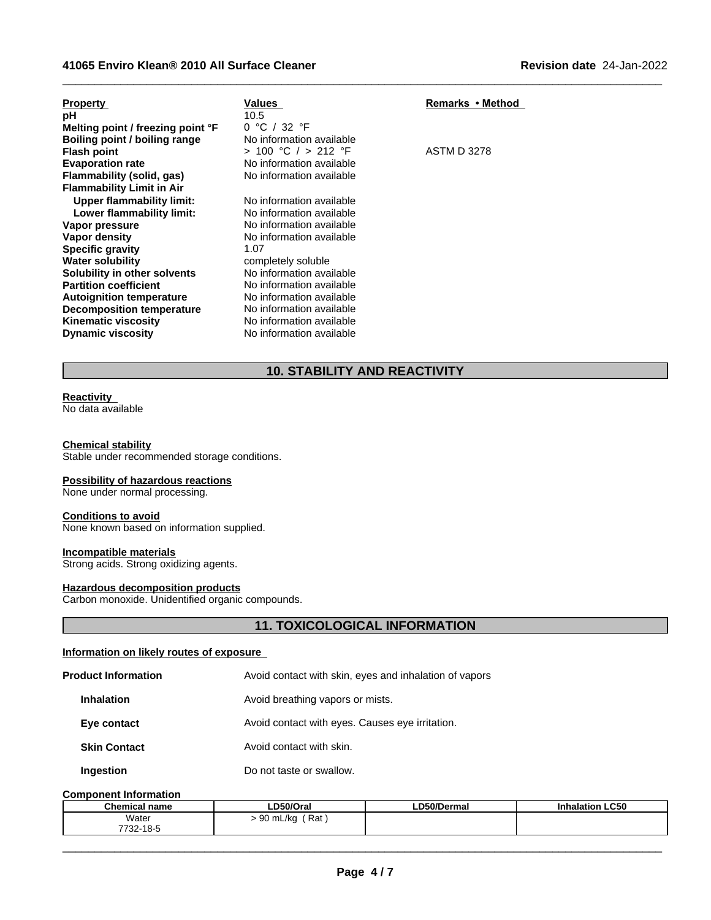| <b>Property</b>                   | <b>Values</b>            | Remarks • Method   |
|-----------------------------------|--------------------------|--------------------|
| рH                                | 10.5                     |                    |
| Melting point / freezing point °F | 0 °C / 32 °F             |                    |
| Boiling point / boiling range     | No information available |                    |
| <b>Flash point</b>                | > 100 °C / > 212 °F      | <b>ASTM D 3278</b> |
| <b>Evaporation rate</b>           | No information available |                    |
| Flammability (solid, gas)         | No information available |                    |
| <b>Flammability Limit in Air</b>  |                          |                    |
| Upper flammability limit:         | No information available |                    |
| Lower flammability limit:         | No information available |                    |
| Vapor pressure                    | No information available |                    |
| Vapor density                     | No information available |                    |
| <b>Specific gravity</b>           | 1.07                     |                    |
| <b>Water solubility</b>           | completely soluble       |                    |
| Solubility in other solvents      | No information available |                    |
| <b>Partition coefficient</b>      | No information available |                    |
| <b>Autoignition temperature</b>   | No information available |                    |
| <b>Decomposition temperature</b>  | No information available |                    |
| <b>Kinematic viscosity</b>        | No information available |                    |
| <b>Dynamic viscosity</b>          | No information available |                    |

# **10. STABILITY AND REACTIVITY**

 $\_$  ,  $\_$  ,  $\_$  ,  $\_$  ,  $\_$  ,  $\_$  ,  $\_$  ,  $\_$  ,  $\_$  ,  $\_$  ,  $\_$  ,  $\_$  ,  $\_$  ,  $\_$  ,  $\_$  ,  $\_$  ,  $\_$  ,  $\_$  ,  $\_$  ,  $\_$  ,  $\_$  ,  $\_$  ,  $\_$  ,  $\_$  ,  $\_$  ,  $\_$  ,  $\_$  ,  $\_$  ,  $\_$  ,  $\_$  ,  $\_$  ,  $\_$  ,  $\_$  ,  $\_$  ,  $\_$  ,  $\_$  ,  $\_$  ,

# **Reactivity**

No data available

## **Chemical stability**

Stable under recommended storage conditions.

#### **Possibility of hazardous reactions**

None under normal processing.

# **Conditions to avoid**

None known based on information supplied.

## **Incompatible materials**

Strong acids. Strong oxidizing agents.

## **Hazardous decomposition products**

Carbon monoxide. Unidentified organic compounds.

# **11. TOXICOLOGICAL INFORMATION**

# **Information on likely routes of exposure**

| <b>Product Information</b> | Avoid contact with skin, eyes and inhalation of vapors |
|----------------------------|--------------------------------------------------------|
| <b>Inhalation</b>          | Avoid breathing vapors or mists.                       |
| Eye contact                | Avoid contact with eyes. Causes eye irritation.        |
| <b>Skin Contact</b>        | Avoid contact with skin.                               |
| Ingestion                  | Do not taste or swallow.                               |

#### **Component Information**

| <b>Chemical name</b>        | LD50/Oral                                        | <b>D50/Dermal</b> . | <b>Inhalation LC50</b> |
|-----------------------------|--------------------------------------------------|---------------------|------------------------|
| Water                       | Rat<br>$\sim$<br>$\frac{1}{2}$<br>′) mL/ku<br>◡◡ |                     |                        |
| 7700<br>$.40 -$<br>732-18-5 |                                                  |                     |                        |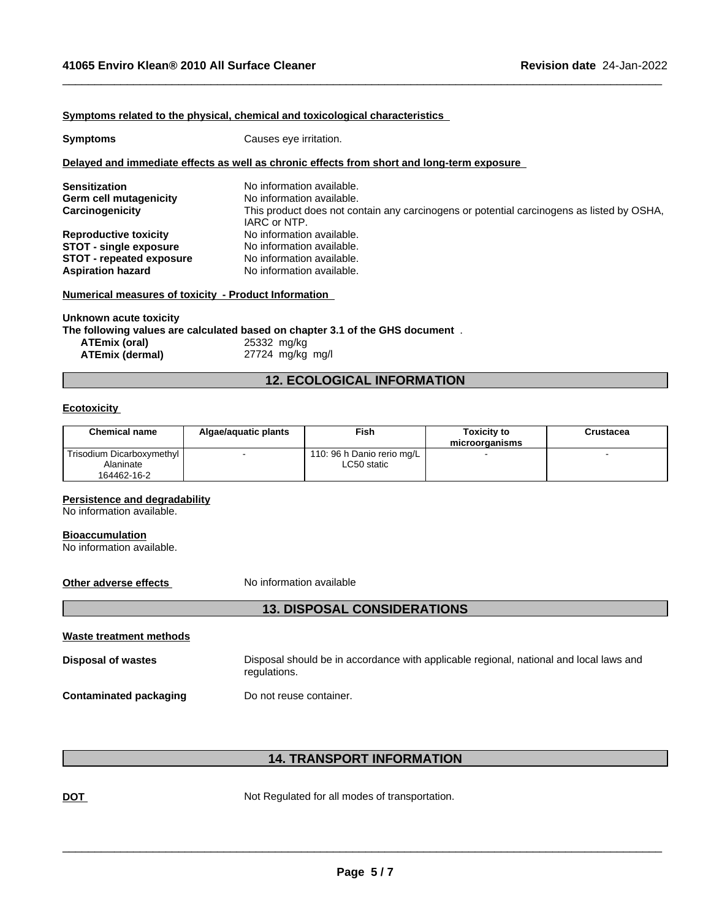#### **<u>Symptoms related to the physical, chemical and toxicological characteristics</u>**

**Symptoms** Causes eye irritation.

#### **Delayed and immediate effects as well as chronic effects from short and long-term exposure**

| Sensitization                   | No information available.                                                                                 |
|---------------------------------|-----------------------------------------------------------------------------------------------------------|
| Germ cell mutagenicity          | No information available.                                                                                 |
| Carcinogenicity                 | This product does not contain any carcinogens or potential carcinogens as listed by OSHA,<br>IARC or NTP. |
| <b>Reproductive toxicity</b>    | No information available.                                                                                 |
| <b>STOT - single exposure</b>   | No information available.                                                                                 |
| <b>STOT - repeated exposure</b> | No information available.                                                                                 |
| Aspiration hazard               | No information available.                                                                                 |

 $\_$  ,  $\_$  ,  $\_$  ,  $\_$  ,  $\_$  ,  $\_$  ,  $\_$  ,  $\_$  ,  $\_$  ,  $\_$  ,  $\_$  ,  $\_$  ,  $\_$  ,  $\_$  ,  $\_$  ,  $\_$  ,  $\_$  ,  $\_$  ,  $\_$  ,  $\_$  ,  $\_$  ,  $\_$  ,  $\_$  ,  $\_$  ,  $\_$  ,  $\_$  ,  $\_$  ,  $\_$  ,  $\_$  ,  $\_$  ,  $\_$  ,  $\_$  ,  $\_$  ,  $\_$  ,  $\_$  ,  $\_$  ,  $\_$  ,

#### **Numerical measures of toxicity - Product Information**

**Unknown acute toxicity**

**The following values are calculated based on chapter 3.1 of the GHS document** .

| ATEmix (oral)   | 25332 mg/kg      |
|-----------------|------------------|
| ATEmix (dermal) | 27724 mg/kg mg/l |

# **12. ECOLOGICAL INFORMATION**

# **Ecotoxicity**

| <b>Chemical name</b>      | Algae/aguatic plants     | Fish                         | Toxicitv to<br>microorganisms | Crustacea |
|---------------------------|--------------------------|------------------------------|-------------------------------|-----------|
| Trisodium Dicarboxymethyl | $\overline{\phantom{a}}$ | 110: 96 h Danio rerio mg/L I |                               |           |
| Alaninate                 |                          | LC50 static                  |                               |           |
| 164462-16-2               |                          |                              |                               |           |

#### **Persistence and degradability**

No information available.

#### **Bioaccumulation**

No information available.

**Other adverse effects** No information available

# **13. DISPOSAL CONSIDERATIONS**

| Waste treatment methods   |                                                                                                        |
|---------------------------|--------------------------------------------------------------------------------------------------------|
| <b>Disposal of wastes</b> | Disposal should be in accordance with applicable regional, national and local laws and<br>regulations. |
| Contaminated packaging    | Do not reuse container.                                                                                |

# **14. TRANSPORT INFORMATION**

|--|

Not Regulated for all modes of transportation.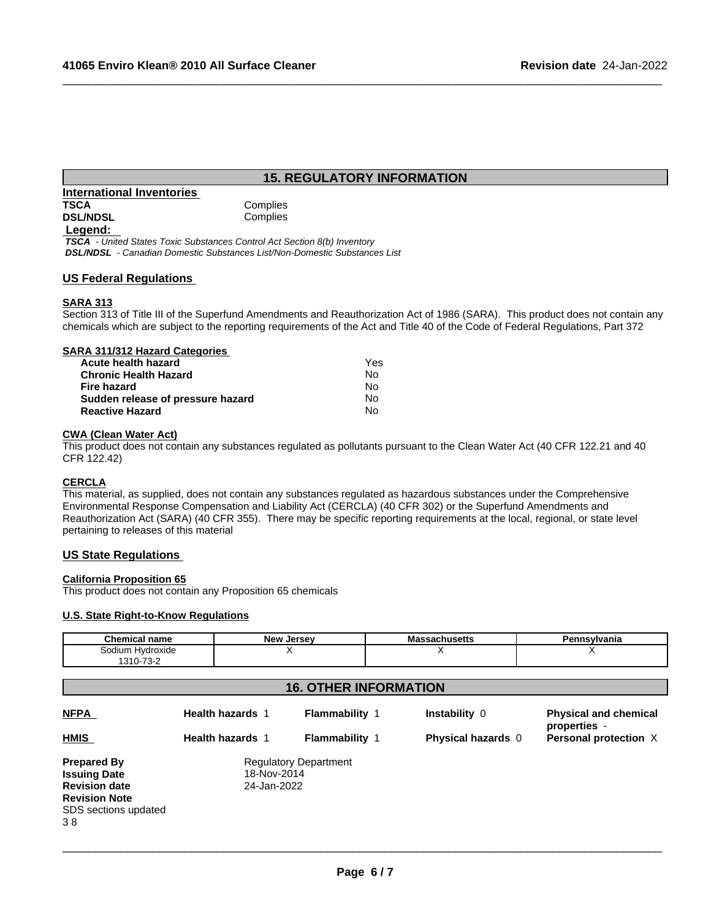# **15. REGULATORY INFORMATION**

 $\_$  ,  $\_$  ,  $\_$  ,  $\_$  ,  $\_$  ,  $\_$  ,  $\_$  ,  $\_$  ,  $\_$  ,  $\_$  ,  $\_$  ,  $\_$  ,  $\_$  ,  $\_$  ,  $\_$  ,  $\_$  ,  $\_$  ,  $\_$  ,  $\_$  ,  $\_$  ,  $\_$  ,  $\_$  ,  $\_$  ,  $\_$  ,  $\_$  ,  $\_$  ,  $\_$  ,  $\_$  ,  $\_$  ,  $\_$  ,  $\_$  ,  $\_$  ,  $\_$  ,  $\_$  ,  $\_$  ,  $\_$  ,  $\_$  ,

# **International Inventories TSCA** Complies<br> **DSL/NDSL** Complies **DSL/NDSL**

# **Legend:**

 *TSCA - United States Toxic Substances Control Act Section 8(b) Inventory DSL/NDSL - Canadian Domestic Substances List/Non-Domestic Substances List*

## **US Federal Regulations**

# **SARA 313**

Section 313 of Title III of the Superfund Amendments and Reauthorization Act of 1986 (SARA). This product does not contain any chemicals which are subject to the reporting requirements of the Act and Title 40 of the Code of Federal Regulations, Part 372

# **SARA 311/312 Hazard Categories**

| Acute health hazard               | Yes |  |
|-----------------------------------|-----|--|
| Chronic Health Hazard             | No. |  |
| Fire hazard                       | N٥  |  |
| Sudden release of pressure hazard | No. |  |
| <b>Reactive Hazard</b>            | No. |  |

## **CWA** (Clean Water Act)

This product does not contain any substances regulated as pollutants pursuant to the Clean Water Act (40 CFR 122.21 and 40 CFR 122.42)

## **CERCLA**

This material, as supplied, does not contain any substances regulated as hazardous substances under the Comprehensive Environmental Response Compensation and Liability Act (CERCLA) (40 CFR 302) or the Superfund Amendments and Reauthorization Act (SARA) (40 CFR 355). There may be specific reporting requirements at the local, regional, or state level pertaining to releases of this material

## **US State Regulations**

#### **California Proposition 65**

This product does not contain any Proposition 65 chemicals

### **U.S. State Right-to-Know Regulations**

| <b>Chemical name</b>                                                                                                    |                                                            | New Jersey                   | <b>Massachusetts</b> | Pennsylvania<br>X                            |
|-------------------------------------------------------------------------------------------------------------------------|------------------------------------------------------------|------------------------------|----------------------|----------------------------------------------|
| Sodium Hydroxide<br>1310-73-2                                                                                           |                                                            | X                            | X                    |                                              |
|                                                                                                                         |                                                            | <b>16. OTHER INFORMATION</b> |                      |                                              |
| <b>NFPA</b>                                                                                                             | <b>Health hazards 1</b>                                    | <b>Flammability 1</b>        | Instability 0        | <b>Physical and chemical</b><br>properties - |
| <b>HMIS</b>                                                                                                             | <b>Health hazards 1</b>                                    | Flammability 1               | Physical hazards 0   | Personal protection X                        |
| <b>Prepared By</b><br><b>Issuing Date</b><br><b>Revision date</b><br><b>Revision Note</b><br>SDS sections updated<br>38 | <b>Regulatory Department</b><br>18-Nov-2014<br>24-Jan-2022 |                              |                      |                                              |